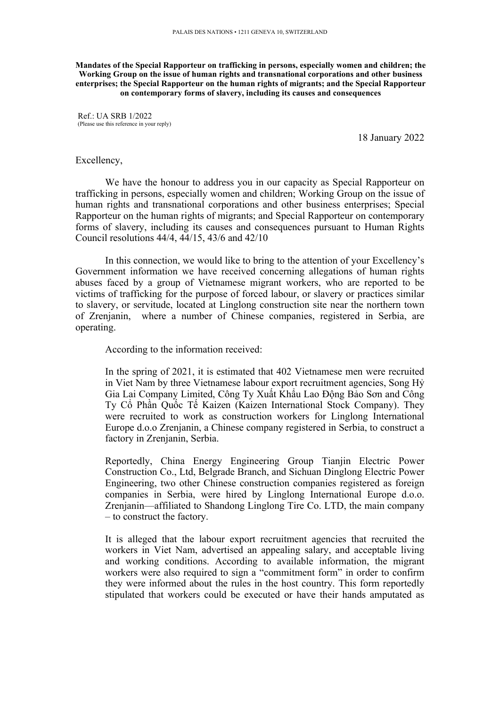**Mandates of the Special Rapporteur on trafficking in persons, especially women and children; the Working Group on the issue of human rights and transnational corporations and other business enterprises; the Special Rapporteur on the human rights of migrants; and the Special Rapporteur on contemporary forms of slavery, including its causes and consequences**

Ref.: UA SRB 1/2022 (Please use this reference in your reply)

18 January 2022

## Excellency,

We have the honour to address you in our capacity as Special Rapporteur on trafficking in persons, especially women and children; Working Group on the issue of human rights and transnational corporations and other business enterprises; Special Rapporteur on the human rights of migrants; and Special Rapporteur on contemporary forms of slavery, including its causes and consequences pursuan<sup>t</sup> to Human Rights Council resolutions 44/4, 44/15, 43/6 and 42/10

In this connection, we would like to bring to the attention of your Excellency'<sup>s</sup> Government information we have received concerning allegations of human rights abuses faced by <sup>a</sup> group of Vietnamese migrant workers, who are reported to be victims of trafficking for the purpose of forced labour, or slavery or practices similar to slavery, or servitude, located at Linglong construction site near the northern town of Zrenjanin, where <sup>a</sup> number of Chinese companies, registered in Serbia, are operating.

According to the information received:

In the spring of 2021, it is estimated that 402 Vietnamese men were recruited in Viet Nam by three Vietnamese labour expor<sup>t</sup> recruitment agencies, Song Hỷ Gia Lai Company Limited, Công Ty Xuấ<sup>t</sup> Khẩ<sup>u</sup> Lao Động <sup>B</sup>ả<sup>o</sup> <sup>S</sup>ơ<sup>n</sup> and Công Ty <sup>C</sup>ổ Phầ<sup>n</sup> Quố<sup>c</sup> <sup>T</sup>ế Kaizen (Kaizen International Stock Company). They were recruited to work as construction workers for Linglong International Europe d.o.o Zrenjanin, <sup>a</sup> Chinese company registered in Serbia, to construct <sup>a</sup> factory in Zrenjanin, Serbia.

Reportedly, China Energy Engineering Group Tianjin Electric Power Construction Co., Ltd, Belgrade Branch, and Sichuan Dinglong Electric Power Engineering, two other Chinese construction companies registered as foreign companies in Serbia, were hired by Linglong International Europe d.o.o. Zrenjanin—affiliated to Shandong Linglong Tire Co. LTD, the main company – to construct the factory.

It is alleged that the labour expor<sup>t</sup> recruitment agencies that recruited the workers in Viet Nam, advertised an appealing salary, and acceptable living and working conditions. According to available information, the migrant workers were also required to sign <sup>a</sup> "commitment form" in order to confirm they were informed about the rules in the host country. This form reportedly stipulated that workers could be executed or have their hands amputated as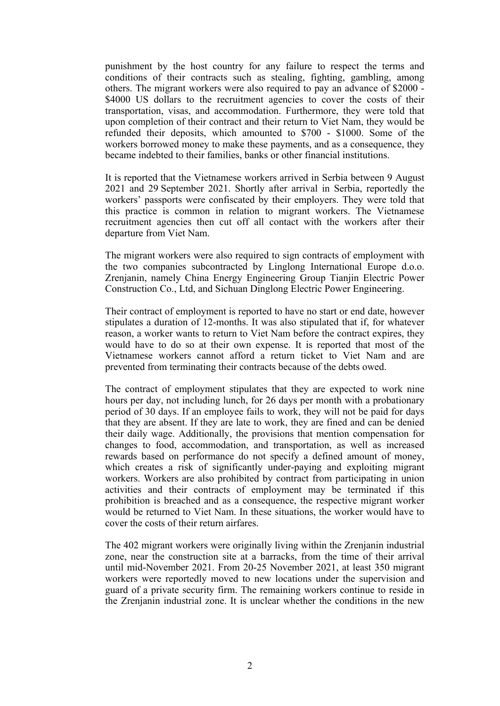punishment by the host country for any failure to respec<sup>t</sup> the terms and conditions of their contracts such as stealing, fighting, gambling, among others. The migrant workers were also required to pay an advance of \$2000 - \$4000 US dollars to the recruitment agencies to cover the costs of their transportation, visas, and accommodation. Furthermore, they were told that upon completion of their contract and their return to Viet Nam, they would be refunded their deposits, which amounted to \$700 - \$1000. Some of the workers borrowed money to make these payments, and as <sup>a</sup> consequence, they became indebted to their families, banks or other financial institutions.

It is reported that the Vietnamese workers arrived in Serbia between 9 August 2021 and 29 September 2021. Shortly after arrival in Serbia, reportedly the workers' passports were confiscated by their employers. They were told that this practice is common in relation to migrant workers. The Vietnamese recruitment agencies then cut off all contact with the workers after their departure from Viet Nam.

The migrant workers were also required to sign contracts of employment with the two companies subcontracted by Linglong International Europe d.o.o. Zrenjanin, namely China Energy Engineering Group Tianjin Electric Power Construction Co., Ltd, and Sichuan Dinglong Electric Power Engineering.

Their contract of employment is reported to have no start or end date, however stipulates <sup>a</sup> duration of 12-months. It was also stipulated that if, for whatever reason, <sup>a</sup> worker wants to return to Viet Nam before the contract expires, they would have to do so at their own expense. It is reported that most of the Vietnamese workers cannot afford <sup>a</sup> return ticket to Viet Nam and are prevented from terminating their contracts because of the debts owed.

The contract of employment stipulates that they are expected to work nine hours per day, not including lunch, for 26 days per month with <sup>a</sup> probationary period of 30 days. If an employee fails to work, they will not be paid for days that they are absent. If they are late to work, they are fined and can be denied their daily wage. Additionally, the provisions that mention compensation for changes to food, accommodation, and transportation, as well as increased rewards based on performance do not specify <sup>a</sup> defined amount of money, which creates <sup>a</sup> risk of significantly under-paying and exploiting migrant workers. Workers are also prohibited by contract from participating in union activities and their contracts of employment may be terminated if this prohibition is breached and as <sup>a</sup> consequence, the respective migrant worker would be returned to Viet Nam. In these situations, the worker would have to cover the costs of their return airfares.

The 402 migrant workers were originally living within the Zrenjanin industrial zone, near the construction site at <sup>a</sup> barracks, from the time of their arrival until mid-November 2021. From 20-25 November 2021, at least 350 migrant workers were reportedly moved to new locations under the supervision and guard of <sup>a</sup> private security firm. The remaining workers continue to reside in the Zrenjanin industrial zone. It is unclear whether the conditions in the new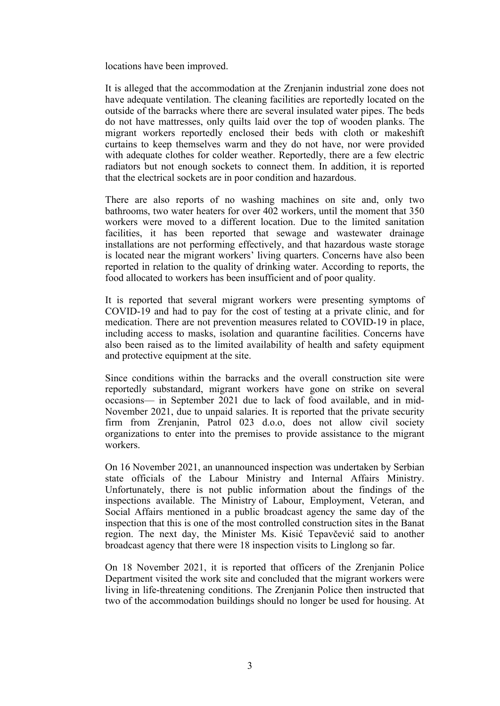locations have been improved.

It is alleged that the accommodation at the Zrenjanin industrial zone does not have adequate ventilation. The cleaning facilities are reportedly located on the outside of the barracks where there are several insulated water pipes. The beds do not have mattresses, only quilts laid over the top of wooden planks. The migrant workers reportedly enclosed their beds with cloth or makeshift curtains to keep themselves warm and they do not have, nor were provided with adequate clothes for colder weather. Reportedly, there are <sup>a</sup> few electric radiators but not enough sockets to connect them. In addition, it is reported that the electrical sockets are in poor condition and hazardous.

There are also reports of no washing machines on site and, only two bathrooms, two water heaters for over 402 workers, until the moment that 350 workers were moved to <sup>a</sup> different location. Due to the limited sanitation facilities, it has been reported that sewage and wastewater drainage installations are not performing effectively, and that hazardous waste storage is located near the migrant workers' living quarters. Concerns have also been reported in relation to the quality of drinking water. According to reports, the food allocated to workers has been insufficient and of poor quality.

It is reported that several migrant workers were presenting symptoms of COVID-19 and had to pay for the cost of testing at <sup>a</sup> private clinic, and for medication. There are not prevention measures related to COVID-19 in place, including access to masks, isolation and quarantine facilities. Concerns have also been raised as to the limited availability of health and safety equipment and protective equipment at the site.

Since conditions within the barracks and the overall construction site were reportedly substandard, migrant workers have gone on strike on several occasions— in September 2021 due to lack of food available, and in mid-November 2021, due to unpaid salaries. It is reported that the private security firm from Zrenjanin, Patrol 023 d.o.o, does not allow civil society organizations to enter into the premises to provide assistance to the migrant workers.

On 16 November 2021, an unannounced inspection was undertaken by Serbian state officials of the Labour Ministry and Internal Affairs Ministry. Unfortunately, there is not public information about the findings of the inspections available. The Ministry of Labour, Employment, Veteran, and Social Affairs mentioned in <sup>a</sup> public broadcast agency the same day of the inspection that this is one of the most controlled construction sites in the Banat region. The next day, the Minister Ms. Kisić Tepavčević said to another broadcast agency that there were 18 inspection visits to Linglong so far.

On 18 November 2021, it is reported that officers of the Zrenjanin Police Department visited the work site and concluded that the migrant workers were living in life-threatening conditions. The Zrenjanin Police then instructed that two of the accommodation buildings should no longer be used for housing. At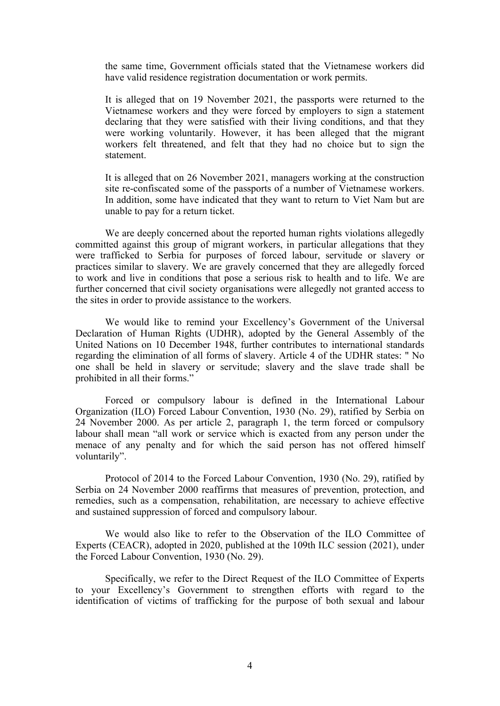the same time, Government officials stated that the Vietnamese workers did have valid residence registration documentation or work permits.

It is alleged that on 19 November 2021, the passports were returned to the Vietnamese workers and they were forced by employers to sign <sup>a</sup> statement declaring that they were satisfied with their living conditions, and that they were working voluntarily. However, it has been alleged that the migrant workers felt threatened, and felt that they had no choice but to sign the statement.

It is alleged that on 26 November 2021, managers working at the construction site re-confiscated some of the passports of <sup>a</sup> number of Vietnamese workers. In addition, some have indicated that they want to return to Viet Nam but are unable to pay for <sup>a</sup> return ticket.

We are deeply concerned about the reported human rights violations allegedly committed against this group of migrant workers, in particular allegations that they were trafficked to Serbia for purposes of forced labour, servitude or slavery or practices similar to slavery. We are gravely concerned that they are allegedly forced to work and live in conditions that pose <sup>a</sup> serious risk to health and to life. We are further concerned that civil society organisations were allegedly not granted access to the sites in order to provide assistance to the workers.

We would like to remind your Excellency'<sup>s</sup> Government of the Universal Declaration of Human Rights (UDHR), adopted by the General Assembly of the United Nations on 10 December 1948, further contributes to international standards regarding the elimination of all forms of slavery. Article 4 of the UDHR states: " No one shall be held in slavery or servitude; slavery and the slave trade shall be prohibited in all their forms."

Forced or compulsory labour is defined in the International Labour Organization (ILO) Forced Labour Convention, 1930 (No. 29), ratified by Serbia on 24 November 2000. As per article 2, paragraph 1, the term forced or compulsory labour shall mean "all work or service which is exacted from any person under the menace of any penalty and for which the said person has not offered himself voluntarily".

Protocol of 2014 to the Forced Labour Convention, 1930 (No. 29), ratified by Serbia on 24 November 2000 reaffirms that measures of prevention, protection, and remedies, such as <sup>a</sup> compensation, rehabilitation, are necessary to achieve effective and sustained suppression of forced and compulsory labour.

We would also like to refer to the Observation of the ILO Committee of Experts (CEACR), adopted in 2020, published at the 109th ILC session (2021), under the Forced Labour Convention, 1930 (No. 29).

Specifically, we refer to the Direct Request of the ILO Committee of Experts to your Excellency'<sup>s</sup> Government to strengthen efforts with regard to the identification of victims of trafficking for the purpose of both sexual and labour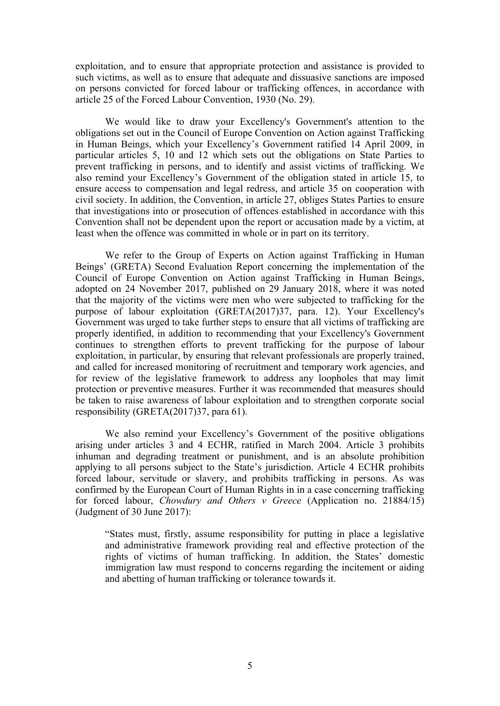exploitation, and to ensure that appropriate protection and assistance is provided to such victims, as well as to ensure that adequate and dissuasive sanctions are imposed on persons convicted for forced labour or trafficking offences, in accordance with article 25 of the Forced Labour Convention, 1930 (No. 29).

We would like to draw your Excellency's Government's attention to the obligations set out in the Council of Europe Convention on Action against Trafficking in Human Beings, which your Excellency'<sup>s</sup> Government ratified 14 April 2009, in particular articles 5, 10 and 12 which sets out the obligations on State Parties to preven<sup>t</sup> trafficking in persons, and to identify and assist victims of trafficking. We also remind your Excellency'<sup>s</sup> Government of the obligation stated in article 15, to ensure access to compensation and legal redress, and article 35 on cooperation with civil society. In addition, the Convention, in article 27, obliges States Parties to ensure that investigations into or prosecution of offences established in accordance with this Convention shall not be dependent upon the repor<sup>t</sup> or accusation made by <sup>a</sup> victim, at least when the offence was committed in whole or in par<sup>t</sup> on its territory.

We refer to the Group of Experts on Action against Trafficking in Human Beings' (GRETA) Second Evaluation Report concerning the implementation of the Council of Europe Convention on Action against Trafficking in Human Beings, adopted on 24 November 2017, published on 29 January 2018, where it was noted that the majority of the victims were men who were subjected to trafficking for the purpose of labour exploitation (GRETA(2017)37, para. 12). Your Excellency's Government was urged to take further steps to ensure that all victims of trafficking are properly identified, in addition to recommending that your Excellency's Government continues to strengthen efforts to preven<sup>t</sup> trafficking for the purpose of labour exploitation, in particular, by ensuring that relevant professionals are properly trained, and called for increased monitoring of recruitment and temporary work agencies, and for review of the legislative framework to address any loopholes that may limit protection or preventive measures. Further it was recommended that measures should be taken to raise awareness of labour exploitation and to strengthen corporate social responsibility (GRETA(2017)37, para 61).

We also remind your Excellency'<sup>s</sup> Government of the positive obligations arising under articles 3 and 4 ECHR, ratified in March 2004. Article 3 prohibits inhuman and degrading treatment or punishment, and is an absolute prohibition applying to all persons subject to the State'<sup>s</sup> jurisdiction. Article 4 ECHR prohibits forced labour, servitude or slavery, and prohibits trafficking in persons. As was confirmed by the European Court of Human Rights in in <sup>a</sup> case concerning trafficking for forced labour, *Chowdury and Others <sup>v</sup> Greece* (Application no. 21884/15) (Judgment of 30 June 2017):

"States must, firstly, assume responsibility for putting in place <sup>a</sup> legislative and administrative framework providing real and effective protection of the rights of victims of human trafficking. In addition, the States' domestic immigration law must respond to concerns regarding the incitement or aiding and abetting of human trafficking or tolerance towards it.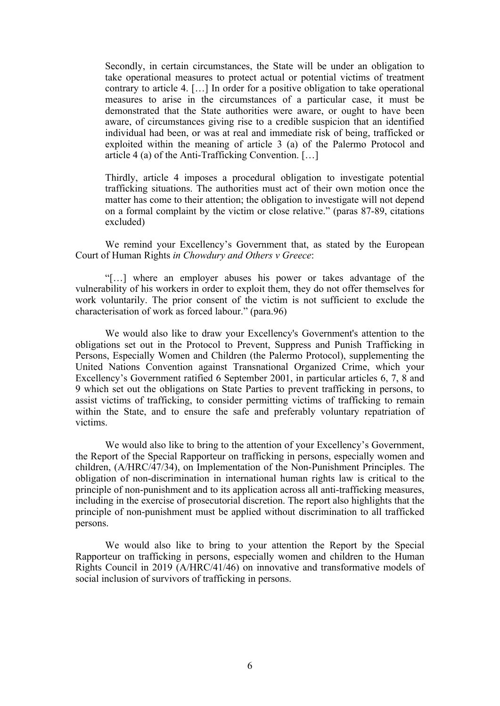Secondly, in certain circumstances, the State will be under an obligation to take operational measures to protect actual or potential victims of treatment contrary to article 4. […] In order for <sup>a</sup> positive obligation to take operational measures to arise in the circumstances of <sup>a</sup> particular case, it must be demonstrated that the State authorities were aware, or ought to have been aware, of circumstances giving rise to <sup>a</sup> credible suspicion that an identified individual had been, or was at real and immediate risk of being, trafficked or exploited within the meaning of article 3 (a) of the Palermo Protocol and article 4 (a) of the Anti-Trafficking Convention. […]

Thirdly, article 4 imposes <sup>a</sup> procedural obligation to investigate potential trafficking situations. The authorities must act of their own motion once the matter has come to their attention; the obligation to investigate will not depend on <sup>a</sup> formal complaint by the victim or close relative." (paras 87-89, citations excluded)

We remind your Excellency'<sup>s</sup> Government that, as stated by the European Court of Human Rights *in Chowdury and Others <sup>v</sup> Greece*:

"[…] where an employer abuses his power or takes advantage of the vulnerability of his workers in order to exploit them, they do not offer themselves for work voluntarily. The prior consent of the victim is not sufficient to exclude the characterisation of work as forced labour." (para.96)

We would also like to draw your Excellency's Government's attention to the obligations set out in the Protocol to Prevent, Suppress and Punish Trafficking in Persons, Especially Women and Children (the Palermo Protocol), supplementing the United Nations Convention against Transnational Organized Crime, which your Excellency'<sup>s</sup> Government ratified 6 September 2001, in particular articles 6, 7, 8 and 9 which set out the obligations on State Parties to preven<sup>t</sup> trafficking in persons, to assist victims of trafficking, to consider permitting victims of trafficking to remain within the State, and to ensure the safe and preferably voluntary repatriation of victims.

We would also like to bring to the attention of your Excellency's Government, the Report of the Special Rapporteur on trafficking in persons, especially women and children, (A/HRC/47/34), on Implementation of the Non-Punishment Principles. The obligation of non-discrimination in international human rights law is critical to the principle of non-punishment and to its application across all anti-trafficking measures, including in the exercise of prosecutorial discretion. The repor<sup>t</sup> also highlights that the principle of non-punishment must be applied without discrimination to all trafficked persons.

We would also like to bring to your attention the Report by the Special Rapporteur on trafficking in persons, especially women and children to the Human Rights Council in 2019 (A/HRC/41/46) on innovative and transformative models of social inclusion of survivors of trafficking in persons.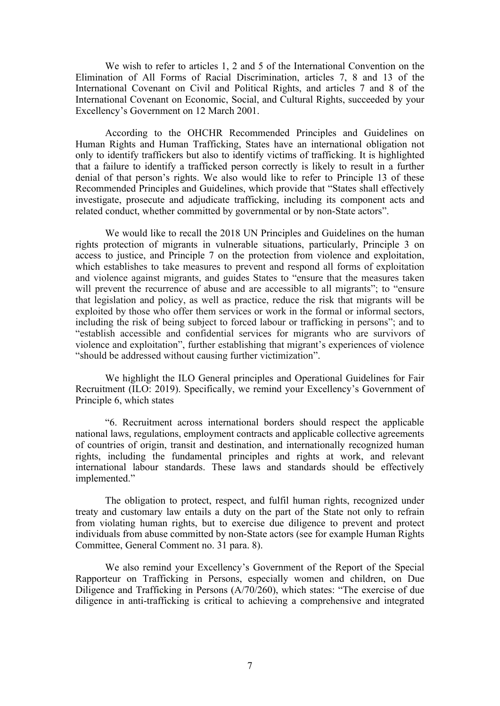We wish to refer to articles 1, 2 and 5 of the International Convention on the Elimination of All Forms of Racial Discrimination, articles 7, 8 and 13 of the International Covenant on Civil and Political Rights, and articles 7 and 8 of the International Covenant on Economic, Social, and Cultural Rights, succeeded by your Excellency'<sup>s</sup> Government on 12 March 2001.

According to the OHCHR Recommended Principles and Guidelines on Human Rights and Human Trafficking, States have an international obligation not only to identify traffickers but also to identify victims of trafficking. It is highlighted that <sup>a</sup> failure to identify <sup>a</sup> trafficked person correctly is likely to result in <sup>a</sup> further denial of that person'<sup>s</sup> rights. We also would like to refer to Principle 13 of these Recommended Principles and Guidelines, which provide that "States shall effectively investigate, prosecute and adjudicate trafficking, including its componen<sup>t</sup> acts and related conduct, whether committed by governmental or by non-State actors".

We would like to recall the 2018 UN Principles and Guidelines on the human rights protection of migrants in vulnerable situations, particularly, Principle 3 on access to justice, and Principle 7 on the protection from violence and exploitation, which establishes to take measures to preven<sup>t</sup> and respond all forms of exploitation and violence against migrants, and guides States to "ensure that the measures taken will prevent the recurrence of abuse and are accessible to all migrants"; to "ensure" that legislation and policy, as well as practice, reduce the risk that migrants will be exploited by those who offer them services or work in the formal or informal sectors, including the risk of being subject to forced labour or trafficking in persons"; and to "establish accessible and confidential services for migrants who are survivors of violence and exploitation", further establishing that migrant'<sup>s</sup> experiences of violence "should be addressed without causing further victimization".

We highlight the ILO General principles and Operational Guidelines for Fair Recruitment (ILO: 2019). Specifically, we remind your Excellency'<sup>s</sup> Government of Principle 6, which states

"6. Recruitment across international borders should respec<sup>t</sup> the applicable national laws, regulations, employment contracts and applicable collective agreements of countries of origin, transit and destination, and internationally recognized human rights, including the fundamental principles and rights at work, and relevant international labour standards. These laws and standards should be effectively implemented."

The obligation to protect, respect, and fulfil human rights, recognized under treaty and customary law entails <sup>a</sup> duty on the par<sup>t</sup> of the State not only to refrain from violating human rights, but to exercise due diligence to preven<sup>t</sup> and protect individuals from abuse committed by non-State actors (see for example Human Rights Committee, General Comment no. 31 para. 8).

We also remind your Excellency'<sup>s</sup> Government of the Report of the Special Rapporteur on Trafficking in Persons, especially women and children, on Due Diligence and Trafficking in Persons (A/70/260), which states: "The exercise of due diligence in anti-trafficking is critical to achieving <sup>a</sup> comprehensive and integrated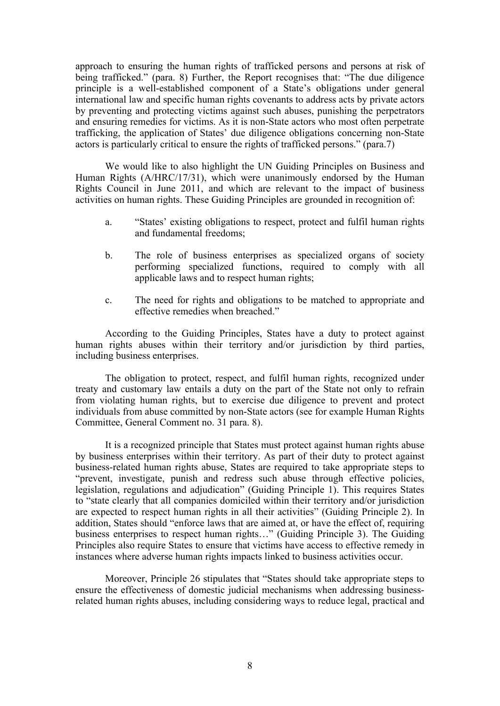approach to ensuring the human rights of trafficked persons and persons at risk of being trafficked." (para. 8) Further, the Report recognises that: "The due diligence principle is <sup>a</sup> well-established componen<sup>t</sup> of <sup>a</sup> State'<sup>s</sup> obligations under general international law and specific human rights covenants to address acts by private actors by preventing and protecting victims against such abuses, punishing the perpetrators and ensuring remedies for victims. As it is non-State actors who most often perpetrate trafficking, the application of States' due diligence obligations concerning non-State actors is particularly critical to ensure the rights of trafficked persons." (para.7)

We would like to also highlight the UN Guiding Principles on Business and Human Rights (A/HRC/17/31), which were unanimously endorsed by the Human Rights Council in June 2011, and which are relevant to the impact of business activities on human rights. These Guiding Principles are grounded in recognition of:

- a. "States' existing obligations to respect, protect and fulfil human rights and fundamental freedoms;
- b. The role of business enterprises as specialized organs of society performing specialized functions, required to comply with all applicable laws and to respec<sup>t</sup> human rights;
- c. The need for rights and obligations to be matched to appropriate and effective remedies when breached."

According to the Guiding Principles, States have <sup>a</sup> duty to protect against human rights abuses within their territory and/or jurisdiction by third parties, including business enterprises.

The obligation to protect, respect, and fulfil human rights, recognized under treaty and customary law entails <sup>a</sup> duty on the par<sup>t</sup> of the State not only to refrain from violating human rights, but to exercise due diligence to preven<sup>t</sup> and protect individuals from abuse committed by non-State actors (see for example Human Rights Committee, General Comment no. 31 para. 8).

It is <sup>a</sup> recognized principle that States must protect against human rights abuse by business enterprises within their territory. As par<sup>t</sup> of their duty to protect against business-related human rights abuse, States are required to take appropriate steps to "prevent, investigate, punish and redress such abuse through effective policies, legislation, regulations and adjudication" (Guiding Principle 1). This requires States to "state clearly that all companies domiciled within their territory and/or jurisdiction are expected to respec<sup>t</sup> human rights in all their activities" (Guiding Principle 2). In addition, States should "enforce laws that are aimed at, or have the effect of, requiring business enterprises to respec<sup>t</sup> human rights…" (Guiding Principle 3). The Guiding Principles also require States to ensure that victims have access to effective remedy in instances where adverse human rights impacts linked to business activities occur.

Moreover, Principle 26 stipulates that "States should take appropriate steps to ensure the effectiveness of domestic judicial mechanisms when addressing businessrelated human rights abuses, including considering ways to reduce legal, practical and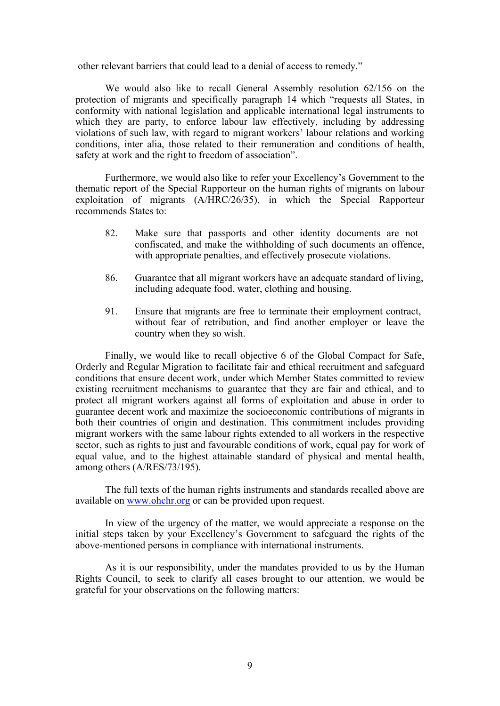other relevant barriers that could lead to <sup>a</sup> denial of access to remedy."

We would also like to recall General Assembly resolution 62/156 on the protection of migrants and specifically paragraph 14 which "requests all States, in conformity with national legislation and applicable international legal instruments to which they are party, to enforce labour law effectively, including by addressing violations of such law, with regard to migrant workers' labour relations and working conditions, inter alia, those related to their remuneration and conditions of health, safety at work and the right to freedom of association".

Furthermore, we would also like to refer your Excellency'<sup>s</sup> Government to the thematic repor<sup>t</sup> of the Special Rapporteur on the human rights of migrants on labour exploitation of migrants (A/HRC/26/35), in which the Special Rapporteur recommends States to:

- 82. Make sure that passports and other identity documents are not confiscated, and make the withholding of such documents an offence, with appropriate penalties, and effectively prosecute violations.
- 86. Guarantee that all migrant workers have an adequate standard of living, including adequate food, water, clothing and housing.
- 91. Ensure that migrants are free to terminate their employment contract, without fear of retribution, and find another employer or leave the country when they so wish.

Finally, we would like to recall objective 6 of the Global Compact for Safe, Orderly and Regular Migration to facilitate fair and ethical recruitment and safeguard conditions that ensure decent work, under which Member States committed to review existing recruitment mechanisms to guarantee that they are fair and ethical, and to protect all migrant workers against all forms of exploitation and abuse in order to guarantee decent work and maximize the socioeconomic contributions of migrants in both their countries of origin and destination. This commitment includes providing migrant workers with the same labour rights extended to all workers in the respective sector, such as rights to just and favourable conditions of work, equal pay for work of equal value, and to the highest attainable standard of physical and mental health, among others (A/RES/73/195).

The full texts of the human rights instruments and standards recalled above are available on [www.ohchr.org](http://www.ohchr.org) or can be provided upon request.

In view of the urgency of the matter, we would appreciate <sup>a</sup> response on the initial steps taken by your Excellency'<sup>s</sup> Government to safeguard the rights of the above-mentioned persons in compliance with international instruments.

As it is our responsibility, under the mandates provided to us by the Human Rights Council, to seek to clarify all cases brought to our attention, we would be grateful for your observations on the following matters: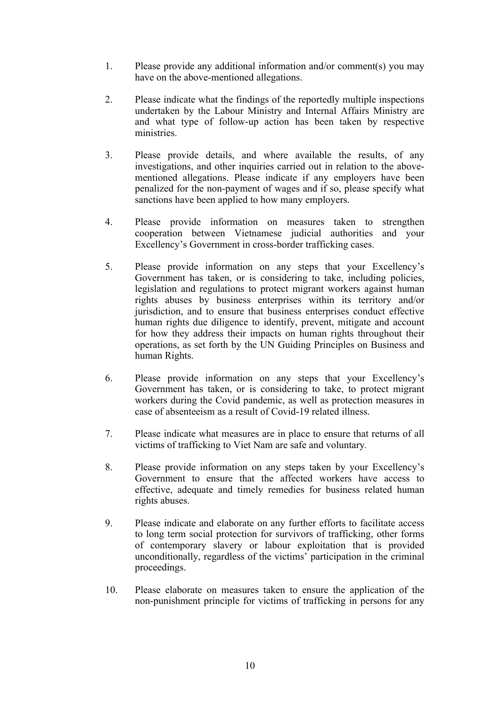- 1. Please provide any additional information and/or comment(s) you may have on the above-mentioned allegations.
- 2. Please indicate what the findings of the reportedly multiple inspections undertaken by the Labour Ministry and Internal Affairs Ministry are and what type of follow-up action has been taken by respective ministries.
- 3. Please provide details, and where available the results, of any investigations, and other inquiries carried out in relation to the abovementioned allegations. Please indicate if any employers have been penalized for the non-paymen<sup>t</sup> of wages and if so, please specify what sanctions have been applied to how many employers.
- 4. Please provide information on measures taken to strengthen cooperation between Vietnamese judicial authorities and your Excellency'<sup>s</sup> Government in cross-border trafficking cases.
- 5. Please provide information on any steps that your Excellency'<sup>s</sup> Government has taken, or is considering to take, including policies, legislation and regulations to protect migrant workers against human rights abuses by business enterprises within its territory and/or jurisdiction, and to ensure that business enterprises conduct effective human rights due diligence to identify, prevent, mitigate and account for how they address their impacts on human rights throughout their operations, as set forth by the UN Guiding Principles on Business and human Rights.
- 6. Please provide information on any steps that your Excellency'<sup>s</sup> Government has taken, or is considering to take, to protect migrant workers during the Covid pandemic, as well as protection measures in case of absenteeism as <sup>a</sup> result of Covid-19 related illness.
- 7. Please indicate what measures are in place to ensure that returns of all victims of trafficking to Viet Nam are safe and voluntary*.*
- 8. Please provide information on any steps taken by your Excellency'<sup>s</sup> Government to ensure that the affected workers have access to effective, adequate and timely remedies for business related human rights abuses.
- 9. Please indicate and elaborate on any further efforts to facilitate access to long term social protection for survivors of trafficking, other forms of contemporary slavery or labour exploitation that is provided unconditionally, regardless of the victims' participation in the criminal proceedings.
- 10. Please elaborate on measures taken to ensure the application of the non-punishment principle for victims of trafficking in persons for any